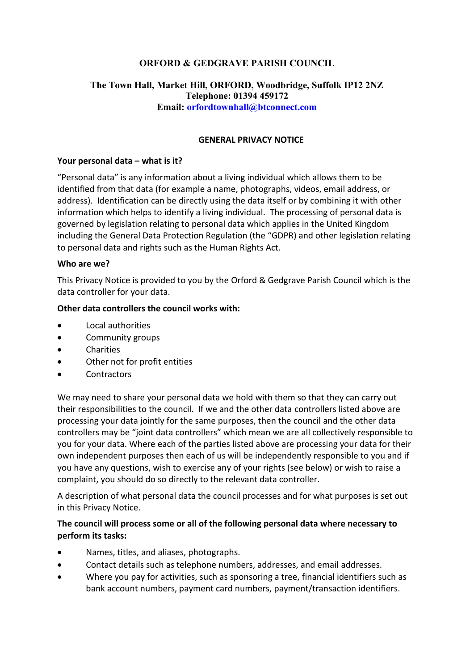# **ORFORD & GEDGRAVE PARISH COUNCIL**

## **The Town Hall, Market Hill, ORFORD, Woodbridge, Suffolk IP12 2NZ Telephone: 01394 459172 Email: orfordtownhall@btconnect.com**

#### **GENERAL PRIVACY NOTICE**

#### **Your personal data – what is it?**

"Personal data" is any information about a living individual which allows them to be identified from that data (for example a name, photographs, videos, email address, or address). Identification can be directly using the data itself or by combining it with other information which helps to identify a living individual. The processing of personal data is governed by legislation relating to personal data which applies in the United Kingdom including the General Data Protection Regulation (the "GDPR) and other legislation relating to personal data and rights such as the Human Rights Act.

#### **Who are we?**

This Privacy Notice is provided to you by the Orford & Gedgrave Parish Council which is the data controller for your data.

#### **Other data controllers the council works with:**

- Local authorities
- Community groups
- Charities
- Other not for profit entities
- Contractors

We may need to share your personal data we hold with them so that they can carry out their responsibilities to the council. If we and the other data controllers listed above are processing your data jointly for the same purposes, then the council and the other data controllers may be "joint data controllers" which mean we are all collectively responsible to you for your data. Where each of the parties listed above are processing your data for their own independent purposes then each of us will be independently responsible to you and if you have any questions, wish to exercise any of your rights (see below) or wish to raise a complaint, you should do so directly to the relevant data controller.

A description of what personal data the council processes and for what purposes is set out in this Privacy Notice.

### **The council will process some or all of the following personal data where necessary to perform its tasks:**

- Names, titles, and aliases, photographs.
- Contact details such as telephone numbers, addresses, and email addresses.
- Where you pay for activities, such as sponsoring a tree, financial identifiers such as bank account numbers, payment card numbers, payment/transaction identifiers.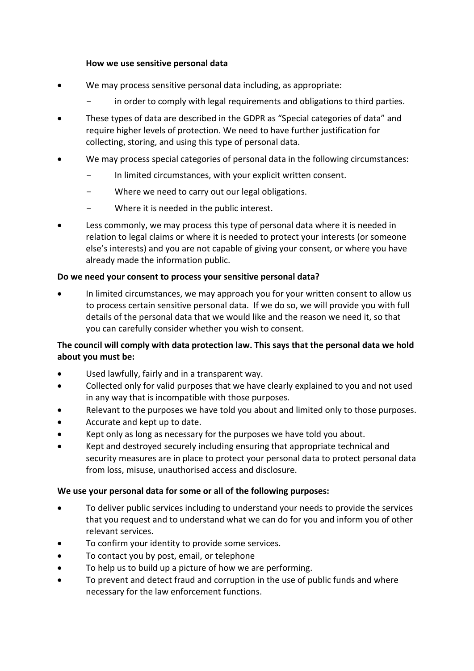### **How we use sensitive personal data**

- We may process sensitive personal data including, as appropriate:
	- in order to comply with legal requirements and obligations to third parties.
- These types of data are described in the GDPR as "Special categories of data" and require higher levels of protection. We need to have further justification for collecting, storing, and using this type of personal data.
- We may process special categories of personal data in the following circumstances:
	- In limited circumstances, with your explicit written consent.
	- Where we need to carry out our legal obligations.
	- Where it is needed in the public interest.
- Less commonly, we may process this type of personal data where it is needed in relation to legal claims or where it is needed to protect your interests (or someone else's interests) and you are not capable of giving your consent, or where you have already made the information public.

### **Do we need your consent to process your sensitive personal data?**

• In limited circumstances, we may approach you for your written consent to allow us to process certain sensitive personal data. If we do so, we will provide you with full details of the personal data that we would like and the reason we need it, so that you can carefully consider whether you wish to consent.

## **The council will comply with data protection law. This says that the personal data we hold about you must be:**

- Used lawfully, fairly and in a transparent way.
- Collected only for valid purposes that we have clearly explained to you and not used in any way that is incompatible with those purposes.
- Relevant to the purposes we have told you about and limited only to those purposes.
- Accurate and kept up to date.
- Kept only as long as necessary for the purposes we have told you about.
- Kept and destroyed securely including ensuring that appropriate technical and security measures are in place to protect your personal data to protect personal data from loss, misuse, unauthorised access and disclosure.

#### **We use your personal data for some or all of the following purposes:**

- To deliver public services including to understand your needs to provide the services that you request and to understand what we can do for you and inform you of other relevant services.
- To confirm your identity to provide some services.
- To contact you by post, email, or telephone
- To help us to build up a picture of how we are performing.
- To prevent and detect fraud and corruption in the use of public funds and where necessary for the law enforcement functions.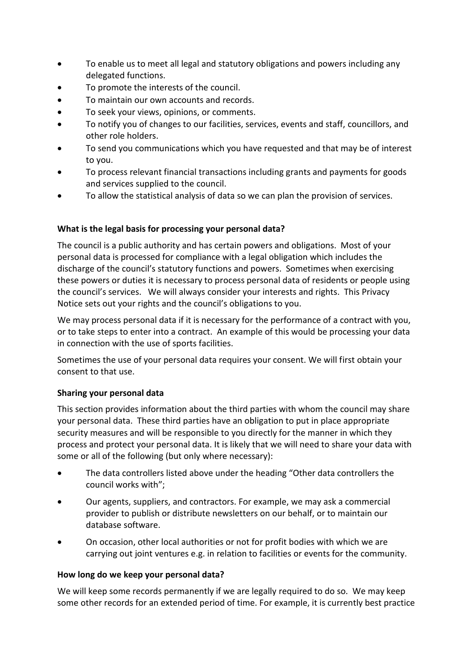- To enable us to meet all legal and statutory obligations and powers including any delegated functions.
- To promote the interests of the council.
- To maintain our own accounts and records.
- To seek your views, opinions, or comments.
- To notify you of changes to our facilities, services, events and staff, councillors, and other role holders.
- To send you communications which you have requested and that may be of interest to you.
- To process relevant financial transactions including grants and payments for goods and services supplied to the council.
- To allow the statistical analysis of data so we can plan the provision of services.

## **What is the legal basis for processing your personal data?**

The council is a public authority and has certain powers and obligations. Most of your personal data is processed for compliance with a legal obligation which includes the discharge of the council's statutory functions and powers. Sometimes when exercising these powers or duties it is necessary to process personal data of residents or people using the council's services. We will always consider your interests and rights. This Privacy Notice sets out your rights and the council's obligations to you.

We may process personal data if it is necessary for the performance of a contract with you, or to take steps to enter into a contract. An example of this would be processing your data in connection with the use of sports facilities.

Sometimes the use of your personal data requires your consent. We will first obtain your consent to that use.

## **Sharing your personal data**

This section provides information about the third parties with whom the council may share your personal data. These third parties have an obligation to put in place appropriate security measures and will be responsible to you directly for the manner in which they process and protect your personal data. It is likely that we will need to share your data with some or all of the following (but only where necessary):

- The data controllers listed above under the heading "Other data controllers the council works with";
- Our agents, suppliers, and contractors. For example, we may ask a commercial provider to publish or distribute newsletters on our behalf, or to maintain our database software.
- On occasion, other local authorities or not for profit bodies with which we are carrying out joint ventures e.g. in relation to facilities or events for the community.

#### **How long do we keep your personal data?**

We will keep some records permanently if we are legally required to do so. We may keep some other records for an extended period of time. For example, it is currently best practice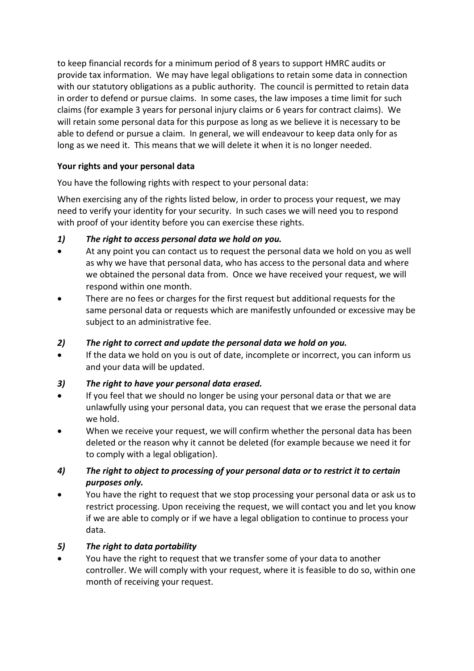to keep financial records for a minimum period of 8 years to support HMRC audits or provide tax information. We may have legal obligations to retain some data in connection with our statutory obligations as a public authority. The council is permitted to retain data in order to defend or pursue claims. In some cases, the law imposes a time limit for such claims (for example 3 years for personal injury claims or 6 years for contract claims). We will retain some personal data for this purpose as long as we believe it is necessary to be able to defend or pursue a claim. In general, we will endeavour to keep data only for as long as we need it. This means that we will delete it when it is no longer needed.

# **Your rights and your personal data**

You have the following rights with respect to your personal data:

When exercising any of the rights listed below, in order to process your request, we may need to verify your identity for your security. In such cases we will need you to respond with proof of your identity before you can exercise these rights.

# *1) The right to access personal data we hold on you.*

- At any point you can contact us to request the personal data we hold on you as well as why we have that personal data, who has access to the personal data and where we obtained the personal data from. Once we have received your request, we will respond within one month.
- There are no fees or charges for the first request but additional requests for the same personal data or requests which are manifestly unfounded or excessive may be subject to an administrative fee.

## *2) The right to correct and update the personal data we hold on you.*

• If the data we hold on you is out of date, incomplete or incorrect, you can inform us and your data will be updated.

## *3) The right to have your personal data erased.*

- If you feel that we should no longer be using your personal data or that we are unlawfully using your personal data, you can request that we erase the personal data we hold.
- When we receive your request, we will confirm whether the personal data has been deleted or the reason why it cannot be deleted (for example because we need it for to comply with a legal obligation).

# *4) The right to object to processing of your personal data or to restrict it to certain purposes only.*

• You have the right to request that we stop processing your personal data or ask us to restrict processing. Upon receiving the request, we will contact you and let you know if we are able to comply or if we have a legal obligation to continue to process your data.

## *5) The right to data portability*

• You have the right to request that we transfer some of your data to another controller. We will comply with your request, where it is feasible to do so, within one month of receiving your request.